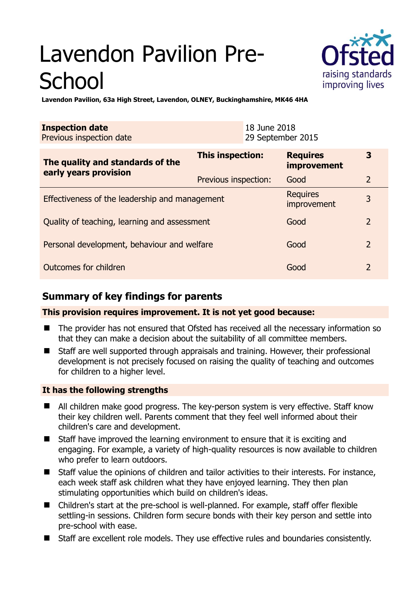# Lavendon Pavilion Pre-**School**



**Lavendon Pavilion, 63a High Street, Lavendon, OLNEY, Buckinghamshire, MK46 4HA** 

| <b>Inspection date</b><br>Previous inspection date        |                      | 18 June 2018<br>29 September 2015 |                                       |                |
|-----------------------------------------------------------|----------------------|-----------------------------------|---------------------------------------|----------------|
| The quality and standards of the<br>early years provision | This inspection:     |                                   | <b>Requires</b><br><b>improvement</b> | 3              |
|                                                           | Previous inspection: |                                   | Good                                  | $\overline{2}$ |
| Effectiveness of the leadership and management            |                      |                                   | <b>Requires</b><br>improvement        | 3              |
| Quality of teaching, learning and assessment              |                      |                                   | Good                                  | $\overline{2}$ |
| Personal development, behaviour and welfare               |                      |                                   | Good                                  | $\overline{2}$ |
| Outcomes for children                                     |                      |                                   | Good                                  | $\overline{2}$ |

# **Summary of key findings for parents**

**This provision requires improvement. It is not yet good because:** 

- The provider has not ensured that Ofsted has received all the necessary information so that they can make a decision about the suitability of all committee members.
- Staff are well supported through appraisals and training. However, their professional development is not precisely focused on raising the quality of teaching and outcomes for children to a higher level.

## **It has the following strengths**

- All children make good progress. The key-person system is very effective. Staff know their key children well. Parents comment that they feel well informed about their children's care and development.
- Staff have improved the learning environment to ensure that it is exciting and engaging. For example, a variety of high-quality resources is now available to children who prefer to learn outdoors.
- Staff value the opinions of children and tailor activities to their interests. For instance, each week staff ask children what they have enjoyed learning. They then plan stimulating opportunities which build on children's ideas.
- Children's start at the pre-school is well-planned. For example, staff offer flexible settling-in sessions. Children form secure bonds with their key person and settle into pre-school with ease.
- Staff are excellent role models. They use effective rules and boundaries consistently.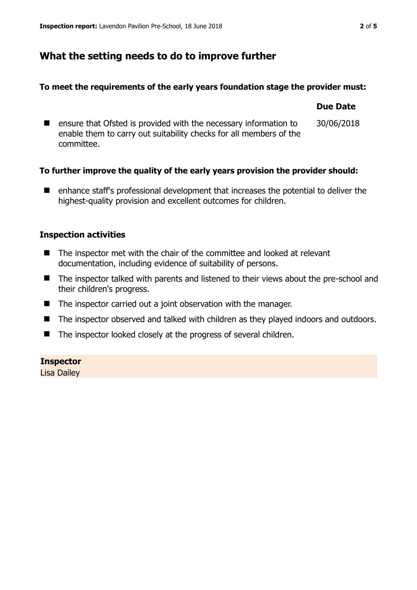# **What the setting needs to do to improve further**

### **To meet the requirements of the early years foundation stage the provider must:**

|                                                                                                                                                      | <b>Due Date</b> |
|------------------------------------------------------------------------------------------------------------------------------------------------------|-----------------|
| ensure that Ofsted is provided with the necessary information to<br>enable them to carry out suitability checks for all members of the<br>committee. | 30/06/2018      |

## **To further improve the quality of the early years provision the provider should:**

■ enhance staff's professional development that increases the potential to deliver the highest-quality provision and excellent outcomes for children.

## **Inspection activities**

- The inspector met with the chair of the committee and looked at relevant documentation, including evidence of suitability of persons.
- The inspector talked with parents and listened to their views about the pre-school and their children's progress.
- The inspector carried out a joint observation with the manager.
- The inspector observed and talked with children as they played indoors and outdoors.
- The inspector looked closely at the progress of several children.

## **Inspector**

Lisa Dailey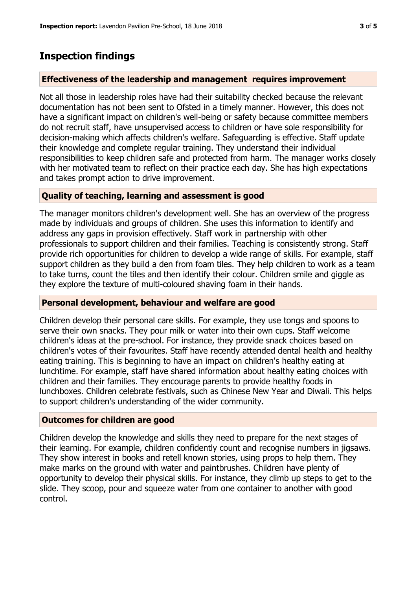# **Inspection findings**

#### **Effectiveness of the leadership and management requires improvement**

Not all those in leadership roles have had their suitability checked because the relevant documentation has not been sent to Ofsted in a timely manner. However, this does not have a significant impact on children's well-being or safety because committee members do not recruit staff, have unsupervised access to children or have sole responsibility for decision-making which affects children's welfare. Safeguarding is effective. Staff update their knowledge and complete regular training. They understand their individual responsibilities to keep children safe and protected from harm. The manager works closely with her motivated team to reflect on their practice each day. She has high expectations and takes prompt action to drive improvement.

### **Quality of teaching, learning and assessment is good**

The manager monitors children's development well. She has an overview of the progress made by individuals and groups of children. She uses this information to identify and address any gaps in provision effectively. Staff work in partnership with other professionals to support children and their families. Teaching is consistently strong. Staff provide rich opportunities for children to develop a wide range of skills. For example, staff support children as they build a den from foam tiles. They help children to work as a team to take turns, count the tiles and then identify their colour. Children smile and giggle as they explore the texture of multi-coloured shaving foam in their hands.

#### **Personal development, behaviour and welfare are good**

Children develop their personal care skills. For example, they use tongs and spoons to serve their own snacks. They pour milk or water into their own cups. Staff welcome children's ideas at the pre-school. For instance, they provide snack choices based on children's votes of their favourites. Staff have recently attended dental health and healthy eating training. This is beginning to have an impact on children's healthy eating at lunchtime. For example, staff have shared information about healthy eating choices with children and their families. They encourage parents to provide healthy foods in lunchboxes. Children celebrate festivals, such as Chinese New Year and Diwali. This helps to support children's understanding of the wider community.

#### **Outcomes for children are good**

Children develop the knowledge and skills they need to prepare for the next stages of their learning. For example, children confidently count and recognise numbers in jigsaws. They show interest in books and retell known stories, using props to help them. They make marks on the ground with water and paintbrushes. Children have plenty of opportunity to develop their physical skills. For instance, they climb up steps to get to the slide. They scoop, pour and squeeze water from one container to another with good control.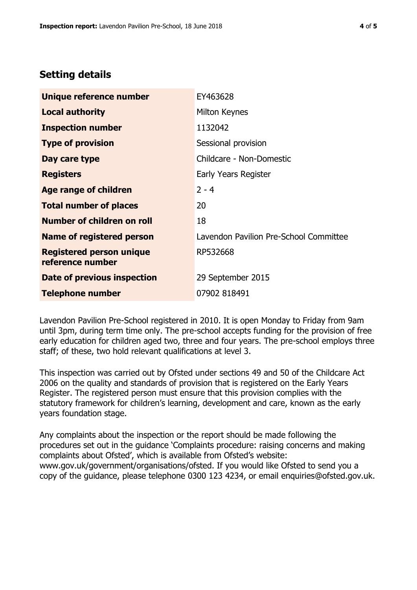# **Setting details**

| Unique reference number                             | EY463628                               |
|-----------------------------------------------------|----------------------------------------|
| <b>Local authority</b>                              | Milton Keynes                          |
| <b>Inspection number</b>                            | 1132042                                |
| <b>Type of provision</b>                            | Sessional provision                    |
| Day care type                                       | Childcare - Non-Domestic               |
| <b>Registers</b>                                    | Early Years Register                   |
| <b>Age range of children</b>                        | $2 - 4$                                |
| <b>Total number of places</b>                       | 20                                     |
| Number of children on roll                          | 18                                     |
| Name of registered person                           | Lavendon Pavilion Pre-School Committee |
| <b>Registered person unique</b><br>reference number | RP532668                               |
| <b>Date of previous inspection</b>                  | 29 September 2015                      |
| <b>Telephone number</b>                             | 07902 818491                           |

Lavendon Pavilion Pre-School registered in 2010. It is open Monday to Friday from 9am until 3pm, during term time only. The pre-school accepts funding for the provision of free early education for children aged two, three and four years. The pre-school employs three staff; of these, two hold relevant qualifications at level 3.

This inspection was carried out by Ofsted under sections 49 and 50 of the Childcare Act 2006 on the quality and standards of provision that is registered on the Early Years Register. The registered person must ensure that this provision complies with the statutory framework for children's learning, development and care, known as the early years foundation stage.

Any complaints about the inspection or the report should be made following the procedures set out in the guidance 'Complaints procedure: raising concerns and making complaints about Ofsted', which is available from Ofsted's website: www.gov.uk/government/organisations/ofsted. If you would like Ofsted to send you a copy of the guidance, please telephone 0300 123 4234, or email enquiries@ofsted.gov.uk.